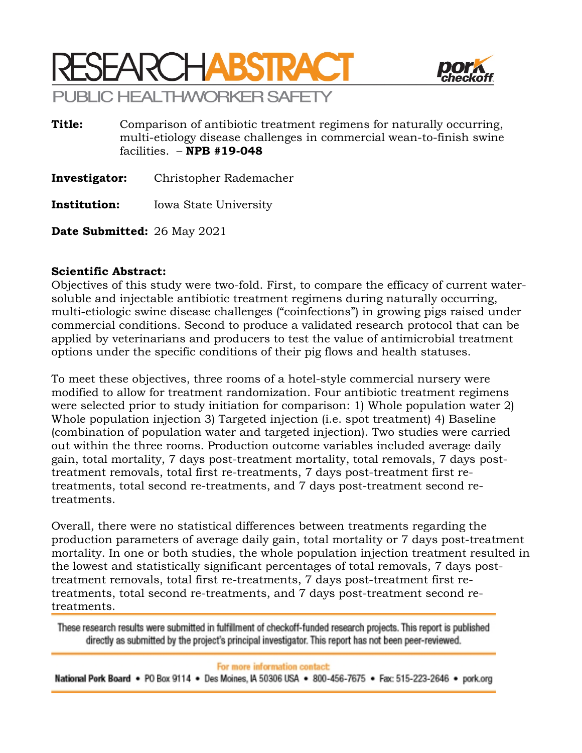



**Title:** Comparison of antibiotic treatment regimens for naturally occurring, multi-etiology disease challenges in commercial wean-to-finish swine facilities. – **NPB #19-048**

**Investigator:** Christopher Rademacher

**Institution:** Iowa State University

**Date Submitted:** 26 May 2021

## **Scientific Abstract:**

Objectives of this study were two-fold. First, to compare the efficacy of current watersoluble and injectable antibiotic treatment regimens during naturally occurring, multi-etiologic swine disease challenges ("coinfections") in growing pigs raised under commercial conditions. Second to produce a validated research protocol that can be applied by veterinarians and producers to test the value of antimicrobial treatment options under the specific conditions of their pig flows and health statuses.

To meet these objectives, three rooms of a hotel-style commercial nursery were modified to allow for treatment randomization. Four antibiotic treatment regimens were selected prior to study initiation for comparison: 1) Whole population water 2) Whole population injection 3) Targeted injection (i.e. spot treatment) 4) Baseline (combination of population water and targeted injection). Two studies were carried out within the three rooms. Production outcome variables included average daily gain, total mortality, 7 days post-treatment mortality, total removals, 7 days posttreatment removals, total first re-treatments, 7 days post-treatment first retreatments, total second re-treatments, and 7 days post-treatment second retreatments.

Overall, there were no statistical differences between treatments regarding the production parameters of average daily gain, total mortality or 7 days post-treatment mortality. In one or both studies, the whole population injection treatment resulted in the lowest and statistically significant percentages of total removals, 7 days posttreatment removals, total first re-treatments, 7 days post-treatment first retreatments, total second re-treatments, and 7 days post-treatment second retreatments.

These research results were submitted in fulfillment of checkoff-funded research projects. This report is published directly as submitted by the project's principal investigator. This report has not been peer-reviewed.

## For more information contact:

National Pork Board • PO Box 9114 • Des Moines, IA 50306 USA • 800-456-7675 • Fax: 515-223-2646 • pork.org